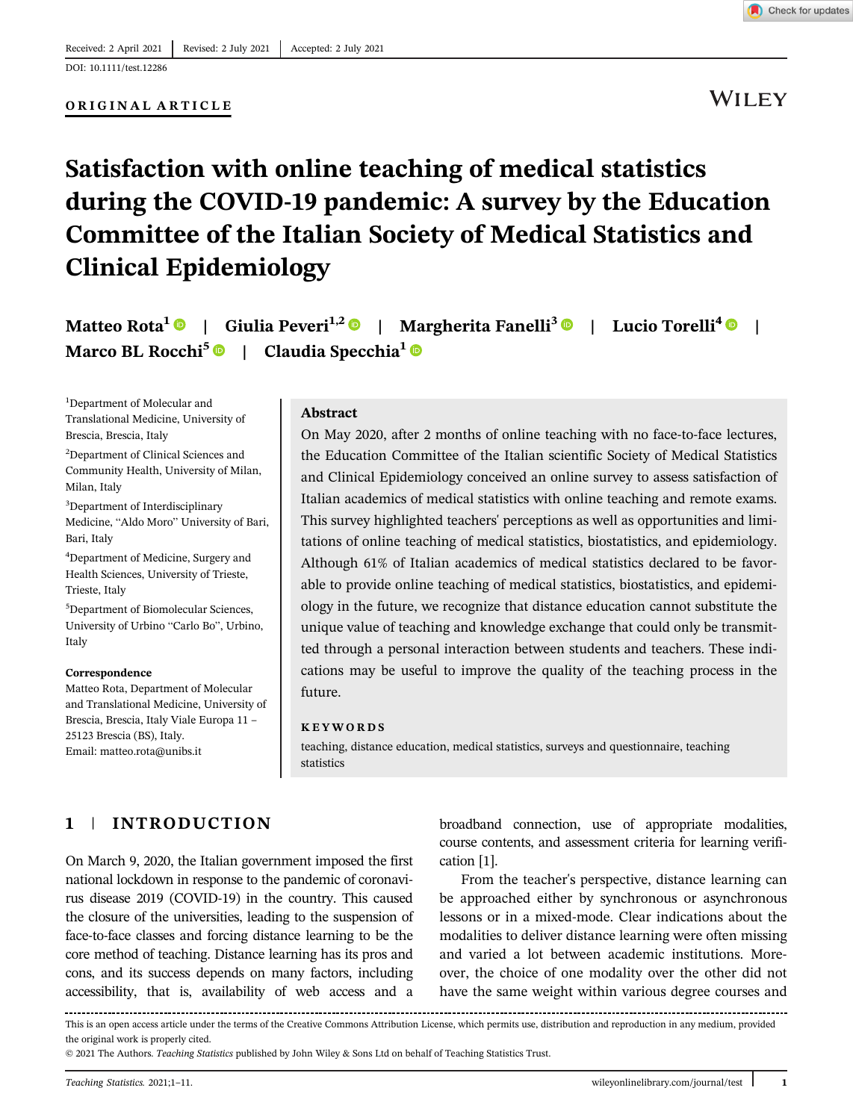DOI: 10.1111/test.12286

### ORIGINAL ARTICLE

**WILEY** 

# Satisfaction with online teaching of medical statistics during the COVID-19 pandemic: A survey by the Education Committee of the Italian Society of Medical Statistics and Clinical Epidemiology

Matteo Rota<sup>1</sup> | Giulia Peveri<sup>1,2</sup> | Margherita Fanelli<sup>3</sup> | Lucio Torelli<sup>4</sup> | Marco BL Rocchi<sup>5</sup>  $\bullet$  | Claudia Specchia<sup>1</sup>  $\bullet$ 

<sup>1</sup>Department of Molecular and Translational Medicine, University of Brescia, Brescia, Italy

<sup>2</sup>Department of Clinical Sciences and Community Health, University of Milan, Milan, Italy

<sup>3</sup>Department of Interdisciplinary Medicine, "Aldo Moro" University of Bari, Bari, Italy

<sup>4</sup>Department of Medicine, Surgery and Health Sciences, University of Trieste, Trieste, Italy

5 Department of Biomolecular Sciences, University of Urbino "Carlo Bo", Urbino, Italy

#### Correspondence

Matteo Rota, Department of Molecular and Translational Medicine, University of Brescia, Brescia, Italy Viale Europa 11 – 25123 Brescia (BS), Italy. Email: [matteo.rota@unibs.it](mailto:matteo.rota@unibs.it)

### Abstract

On May 2020, after 2 months of online teaching with no face-to-face lectures, the Education Committee of the Italian scientific Society of Medical Statistics and Clinical Epidemiology conceived an online survey to assess satisfaction of Italian academics of medical statistics with online teaching and remote exams. This survey highlighted teachers' perceptions as well as opportunities and limitations of online teaching of medical statistics, biostatistics, and epidemiology. Although 61% of Italian academics of medical statistics declared to be favorable to provide online teaching of medical statistics, biostatistics, and epidemiology in the future, we recognize that distance education cannot substitute the unique value of teaching and knowledge exchange that could only be transmitted through a personal interaction between students and teachers. These indications may be useful to improve the quality of the teaching process in the future.

#### KEYWORDS

teaching, distance education, medical statistics, surveys and questionnaire, teaching statistics

# 1 | INTRODUCTION

On March 9, 2020, the Italian government imposed the first national lockdown in response to the pandemic of coronavirus disease 2019 (COVID-19) in the country. This caused the closure of the universities, leading to the suspension of face-to-face classes and forcing distance learning to be the core method of teaching. Distance learning has its pros and cons, and its success depends on many factors, including accessibility, that is, availability of web access and a

broadband connection, use of appropriate modalities, course contents, and assessment criteria for learning verification [1].

From the teacher's perspective, distance learning can be approached either by synchronous or asynchronous lessons or in a mixed-mode. Clear indications about the modalities to deliver distance learning were often missing and varied a lot between academic institutions. Moreover, the choice of one modality over the other did not have the same weight within various degree courses and

This is an open access article under the terms of the [Creative Commons Attribution](http://creativecommons.org/licenses/by/4.0/) License, which permits use, distribution and reproduction in any medium, provided the original work is properly cited.

© 2021 The Authors. Teaching Statistics published by John Wiley & Sons Ltd on behalf of Teaching Statistics Trust.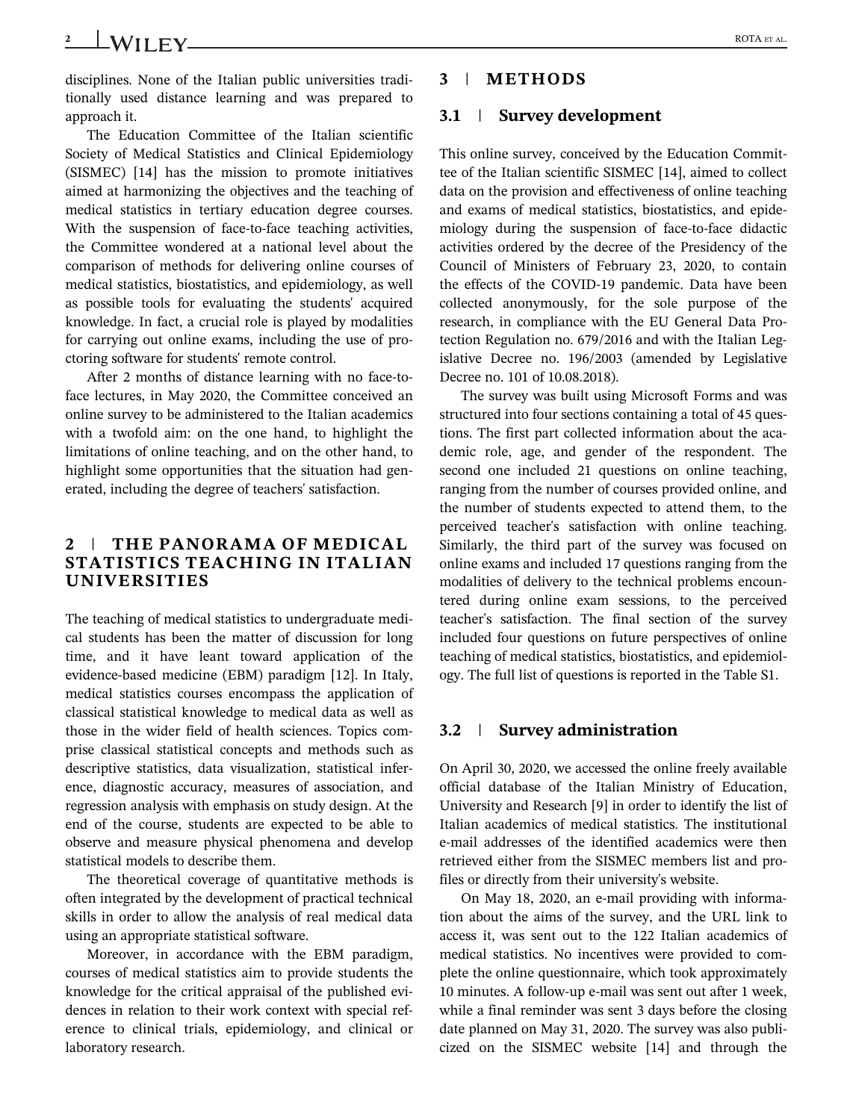# 2 ROTA ET AL.

disciplines. None of the Italian public universities traditionally used distance learning and was prepared to approach it.

The Education Committee of the Italian scientific Society of Medical Statistics and Clinical Epidemiology (SISMEC) [14] has the mission to promote initiatives aimed at harmonizing the objectives and the teaching of medical statistics in tertiary education degree courses. With the suspension of face-to-face teaching activities, the Committee wondered at a national level about the comparison of methods for delivering online courses of medical statistics, biostatistics, and epidemiology, as well as possible tools for evaluating the students' acquired knowledge. In fact, a crucial role is played by modalities for carrying out online exams, including the use of proctoring software for students' remote control.

After 2 months of distance learning with no face-toface lectures, in May 2020, the Committee conceived an online survey to be administered to the Italian academics with a twofold aim: on the one hand, to highlight the limitations of online teaching, and on the other hand, to highlight some opportunities that the situation had generated, including the degree of teachers' satisfaction.

# 2 | THE PANORAMA OF MEDICAL STATISTICS TEACHING IN ITALIAN UNIVERSITIES

The teaching of medical statistics to undergraduate medical students has been the matter of discussion for long time, and it have leant toward application of the evidence-based medicine (EBM) paradigm [12]. In Italy, medical statistics courses encompass the application of classical statistical knowledge to medical data as well as those in the wider field of health sciences. Topics comprise classical statistical concepts and methods such as descriptive statistics, data visualization, statistical inference, diagnostic accuracy, measures of association, and regression analysis with emphasis on study design. At the end of the course, students are expected to be able to observe and measure physical phenomena and develop statistical models to describe them.

The theoretical coverage of quantitative methods is often integrated by the development of practical technical skills in order to allow the analysis of real medical data using an appropriate statistical software.

Moreover, in accordance with the EBM paradigm, courses of medical statistics aim to provide students the knowledge for the critical appraisal of the published evidences in relation to their work context with special reference to clinical trials, epidemiology, and clinical or laboratory research.

# 3 | METHODS

# 3.1 | Survey development

This online survey, conceived by the Education Committee of the Italian scientific SISMEC [14], aimed to collect data on the provision and effectiveness of online teaching and exams of medical statistics, biostatistics, and epidemiology during the suspension of face-to-face didactic activities ordered by the decree of the Presidency of the Council of Ministers of February 23, 2020, to contain the effects of the COVID-19 pandemic. Data have been collected anonymously, for the sole purpose of the research, in compliance with the EU General Data Protection Regulation no. 679/2016 and with the Italian Legislative Decree no. 196/2003 (amended by Legislative Decree no. 101 of 10.08.2018).

The survey was built using Microsoft Forms and was structured into four sections containing a total of 45 questions. The first part collected information about the academic role, age, and gender of the respondent. The second one included 21 questions on online teaching, ranging from the number of courses provided online, and the number of students expected to attend them, to the perceived teacher's satisfaction with online teaching. Similarly, the third part of the survey was focused on online exams and included 17 questions ranging from the modalities of delivery to the technical problems encountered during online exam sessions, to the perceived teacher's satisfaction. The final section of the survey included four questions on future perspectives of online teaching of medical statistics, biostatistics, and epidemiology. The full list of questions is reported in the Table S1.

# 3.2 | Survey administration

On April 30, 2020, we accessed the online freely available official database of the Italian Ministry of Education, University and Research [9] in order to identify the list of Italian academics of medical statistics. The institutional e-mail addresses of the identified academics were then retrieved either from the SISMEC members list and profiles or directly from their university's website.

On May 18, 2020, an e-mail providing with information about the aims of the survey, and the URL link to access it, was sent out to the 122 Italian academics of medical statistics. No incentives were provided to complete the online questionnaire, which took approximately 10 minutes. A follow-up e-mail was sent out after 1 week, while a final reminder was sent 3 days before the closing date planned on May 31, 2020. The survey was also publicized on the SISMEC website [14] and through the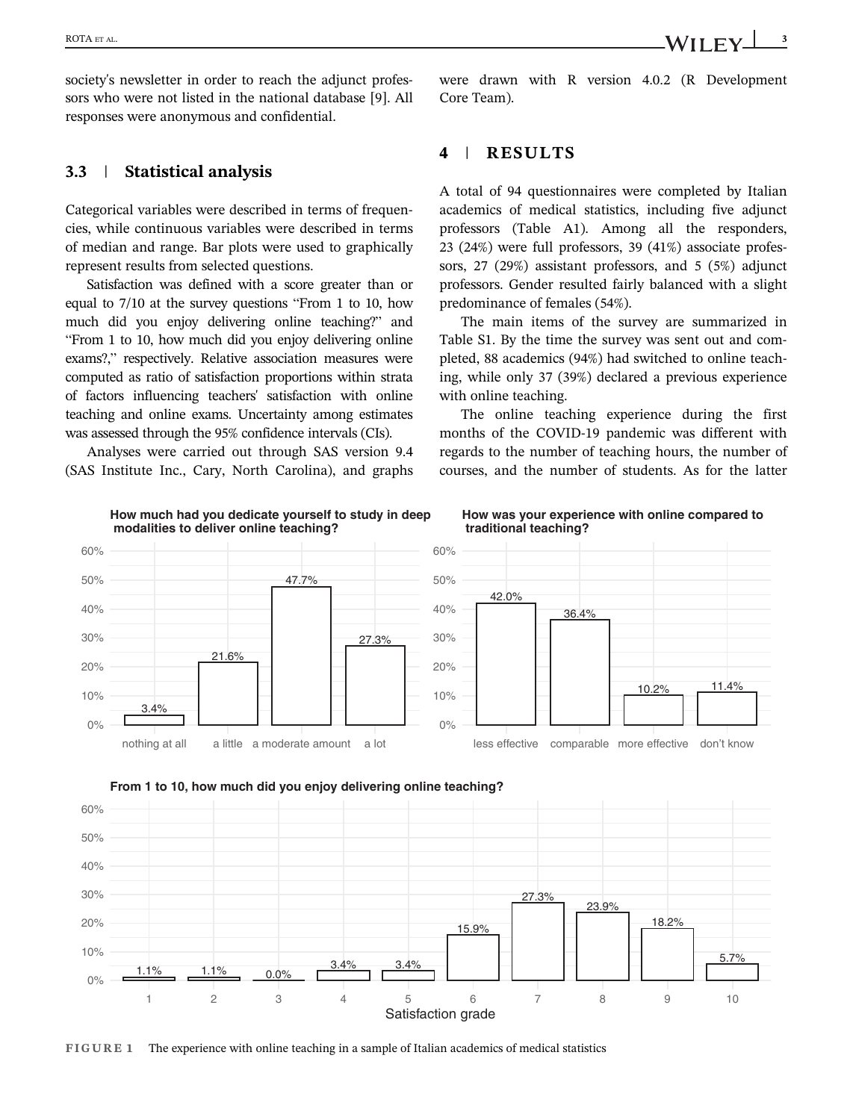society's newsletter in order to reach the adjunct professors who were not listed in the national database [9]. All responses were anonymous and confidential.

## 3.3 | Statistical analysis

Categorical variables were described in terms of frequencies, while continuous variables were described in terms of median and range. Bar plots were used to graphically represent results from selected questions.

Satisfaction was defined with a score greater than or equal to 7/10 at the survey questions "From 1 to 10, how much did you enjoy delivering online teaching?" and "From 1 to 10, how much did you enjoy delivering online exams?," respectively. Relative association measures were computed as ratio of satisfaction proportions within strata of factors influencing teachers' satisfaction with online teaching and online exams. Uncertainty among estimates was assessed through the 95% confidence intervals (CIs).

Analyses were carried out through SAS version 9.4 (SAS Institute Inc., Cary, North Carolina), and graphs

## 4 | RESULTS

Core Team).

A total of 94 questionnaires were completed by Italian academics of medical statistics, including five adjunct professors (Table A1). Among all the responders, 23 (24%) were full professors, 39 (41%) associate professors, 27 (29%) assistant professors, and 5 (5%) adjunct professors. Gender resulted fairly balanced with a slight predominance of females (54%).

The main items of the survey are summarized in Table S1. By the time the survey was sent out and completed, 88 academics (94%) had switched to online teaching, while only 37 (39%) declared a previous experience with online teaching.

The online teaching experience during the first months of the COVID-19 pandemic was different with regards to the number of teaching hours, the number of courses, and the number of students. As for the latter





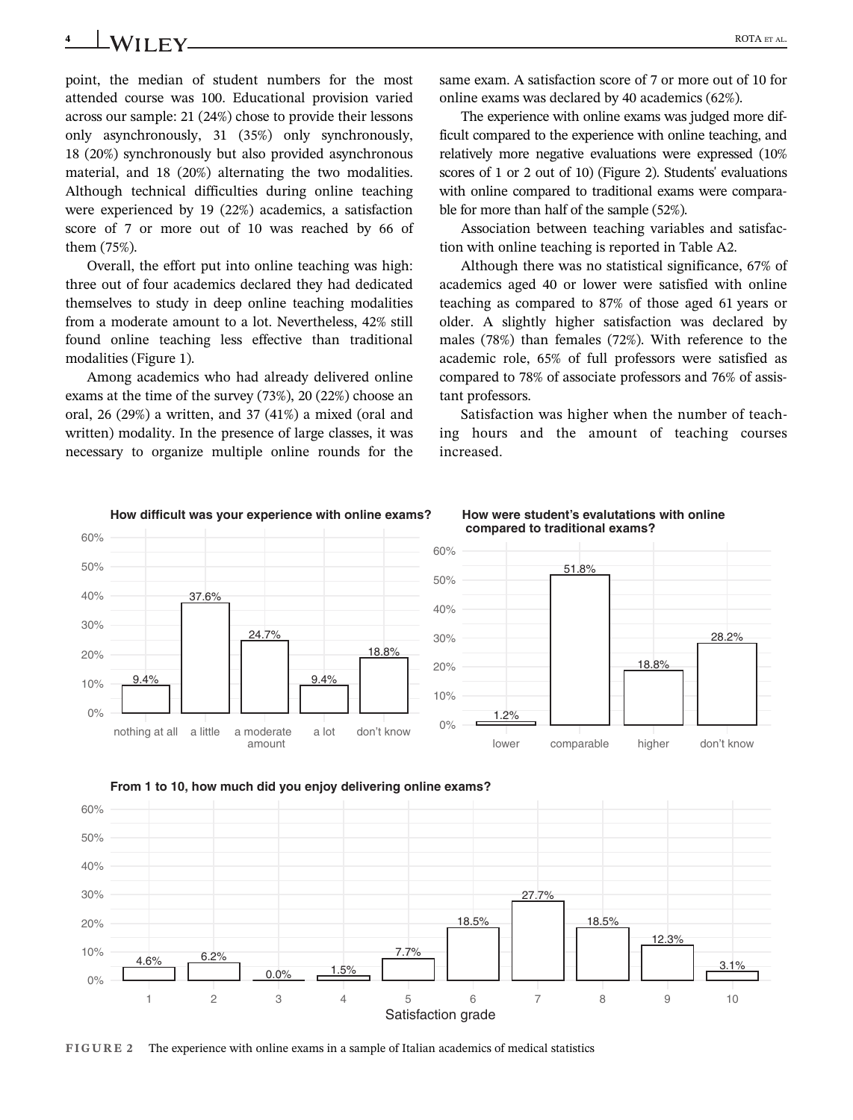# 4 ROTA ET AL.

point, the median of student numbers for the most attended course was 100. Educational provision varied across our sample: 21 (24%) chose to provide their lessons only asynchronously, 31 (35%) only synchronously, 18 (20%) synchronously but also provided asynchronous material, and 18 (20%) alternating the two modalities. Although technical difficulties during online teaching were experienced by 19 (22%) academics, a satisfaction score of 7 or more out of 10 was reached by 66 of them (75%).

Overall, the effort put into online teaching was high: three out of four academics declared they had dedicated themselves to study in deep online teaching modalities from a moderate amount to a lot. Nevertheless, 42% still found online teaching less effective than traditional modalities (Figure 1).

Among academics who had already delivered online exams at the time of the survey (73%), 20 (22%) choose an oral, 26 (29%) a written, and 37 (41%) a mixed (oral and written) modality. In the presence of large classes, it was necessary to organize multiple online rounds for the same exam. A satisfaction score of 7 or more out of 10 for online exams was declared by 40 academics (62%).

The experience with online exams was judged more difficult compared to the experience with online teaching, and relatively more negative evaluations were expressed (10% scores of 1 or 2 out of 10) (Figure 2). Students' evaluations with online compared to traditional exams were comparable for more than half of the sample (52%).

Association between teaching variables and satisfaction with online teaching is reported in Table A2.

Although there was no statistical significance, 67% of academics aged 40 or lower were satisfied with online teaching as compared to 87% of those aged 61 years or older. A slightly higher satisfaction was declared by males (78%) than females (72%). With reference to the academic role, 65% of full professors were satisfied as compared to 78% of associate professors and 76% of assistant professors.

Satisfaction was higher when the number of teaching hours and the amount of teaching courses increased.





FIGURE 2 The experience with online exams in a sample of Italian academics of medical statistics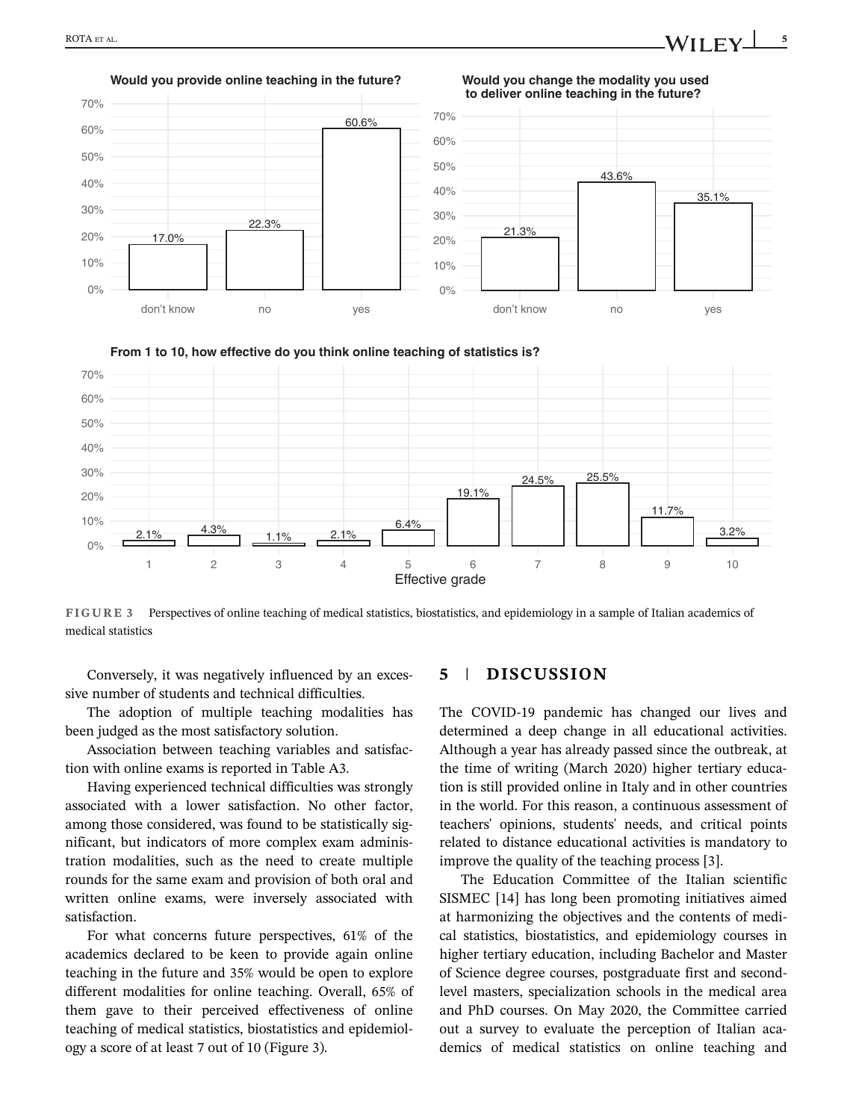





FIGURE 3 Perspectives of online teaching of medical statistics, biostatistics, and epidemiology in a sample of Italian academics of medical statistics

Conversely, it was negatively influenced by an excessive number of students and technical difficulties.

The adoption of multiple teaching modalities has been judged as the most satisfactory solution.

Association between teaching variables and satisfaction with online exams is reported in Table A3.

Having experienced technical difficulties was strongly associated with a lower satisfaction. No other factor, among those considered, was found to be statistically significant, but indicators of more complex exam administration modalities, such as the need to create multiple rounds for the same exam and provision of both oral and written online exams, were inversely associated with satisfaction.

For what concerns future perspectives, 61% of the academics declared to be keen to provide again online teaching in the future and 35% would be open to explore different modalities for online teaching. Overall, 65% of them gave to their perceived effectiveness of online teaching of medical statistics, biostatistics and epidemiology a score of at least 7 out of 10 (Figure 3).

### 5 | DISCUSSION

The COVID-19 pandemic has changed our lives and determined a deep change in all educational activities. Although a year has already passed since the outbreak, at the time of writing (March 2020) higher tertiary education is still provided online in Italy and in other countries in the world. For this reason, a continuous assessment of teachers' opinions, students' needs, and critical points related to distance educational activities is mandatory to improve the quality of the teaching process [3].

The Education Committee of the Italian scientific SISMEC [14] has long been promoting initiatives aimed at harmonizing the objectives and the contents of medical statistics, biostatistics, and epidemiology courses in higher tertiary education, including Bachelor and Master of Science degree courses, postgraduate first and secondlevel masters, specialization schools in the medical area and PhD courses. On May 2020, the Committee carried out a survey to evaluate the perception of Italian academics of medical statistics on online teaching and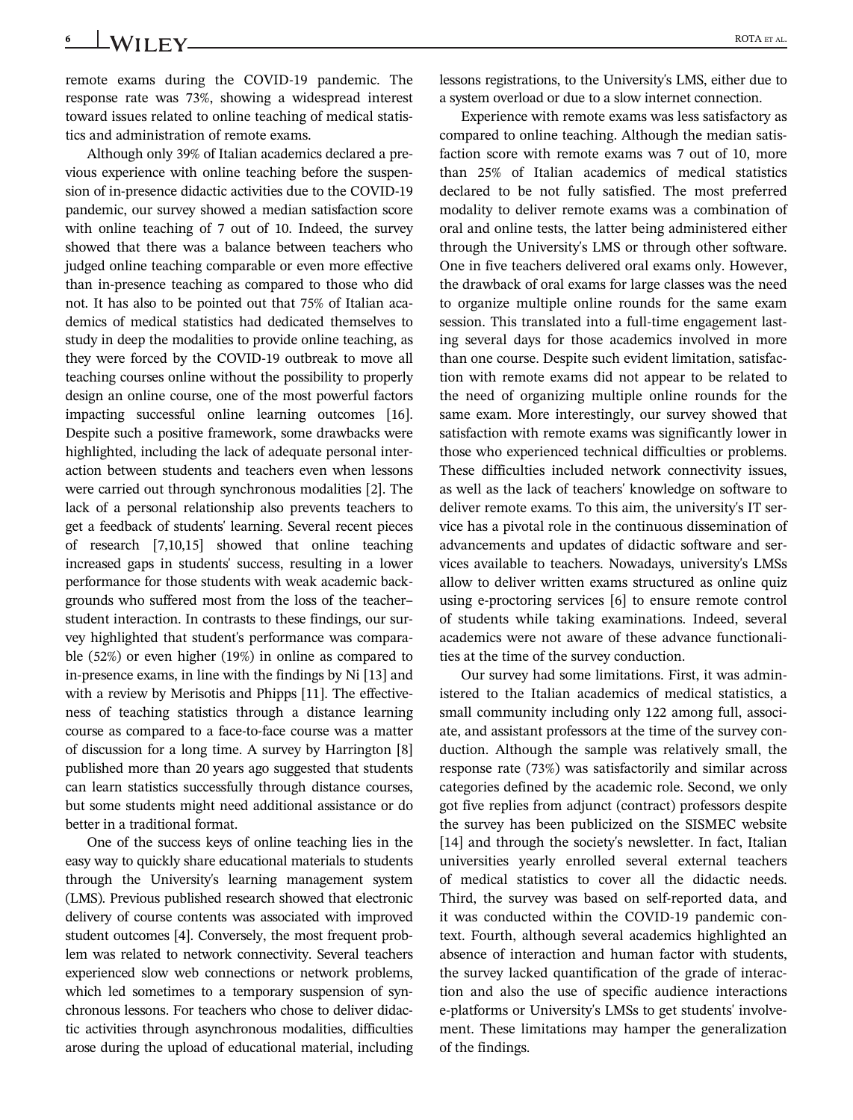6 **WII FY** ROTA ET AL.

remote exams during the COVID-19 pandemic. The response rate was 73%, showing a widespread interest toward issues related to online teaching of medical statistics and administration of remote exams.

Although only 39% of Italian academics declared a previous experience with online teaching before the suspension of in-presence didactic activities due to the COVID-19 pandemic, our survey showed a median satisfaction score with online teaching of 7 out of 10. Indeed, the survey showed that there was a balance between teachers who judged online teaching comparable or even more effective than in-presence teaching as compared to those who did not. It has also to be pointed out that 75% of Italian academics of medical statistics had dedicated themselves to study in deep the modalities to provide online teaching, as they were forced by the COVID-19 outbreak to move all teaching courses online without the possibility to properly design an online course, one of the most powerful factors impacting successful online learning outcomes [16]. Despite such a positive framework, some drawbacks were highlighted, including the lack of adequate personal interaction between students and teachers even when lessons were carried out through synchronous modalities [2]. The lack of a personal relationship also prevents teachers to get a feedback of students' learning. Several recent pieces of research [7,10,15] showed that online teaching increased gaps in students' success, resulting in a lower performance for those students with weak academic backgrounds who suffered most from the loss of the teacher– student interaction. In contrasts to these findings, our survey highlighted that student's performance was comparable (52%) or even higher (19%) in online as compared to in-presence exams, in line with the findings by Ni [13] and with a review by Merisotis and Phipps [11]. The effectiveness of teaching statistics through a distance learning course as compared to a face-to-face course was a matter of discussion for a long time. A survey by Harrington [8] published more than 20 years ago suggested that students can learn statistics successfully through distance courses, but some students might need additional assistance or do better in a traditional format.

One of the success keys of online teaching lies in the easy way to quickly share educational materials to students through the University's learning management system (LMS). Previous published research showed that electronic delivery of course contents was associated with improved student outcomes [4]. Conversely, the most frequent problem was related to network connectivity. Several teachers experienced slow web connections or network problems, which led sometimes to a temporary suspension of synchronous lessons. For teachers who chose to deliver didactic activities through asynchronous modalities, difficulties arose during the upload of educational material, including lessons registrations, to the University's LMS, either due to a system overload or due to a slow internet connection.

Experience with remote exams was less satisfactory as compared to online teaching. Although the median satisfaction score with remote exams was 7 out of 10, more than 25% of Italian academics of medical statistics declared to be not fully satisfied. The most preferred modality to deliver remote exams was a combination of oral and online tests, the latter being administered either through the University's LMS or through other software. One in five teachers delivered oral exams only. However, the drawback of oral exams for large classes was the need to organize multiple online rounds for the same exam session. This translated into a full-time engagement lasting several days for those academics involved in more than one course. Despite such evident limitation, satisfaction with remote exams did not appear to be related to the need of organizing multiple online rounds for the same exam. More interestingly, our survey showed that satisfaction with remote exams was significantly lower in those who experienced technical difficulties or problems. These difficulties included network connectivity issues, as well as the lack of teachers' knowledge on software to deliver remote exams. To this aim, the university's IT service has a pivotal role in the continuous dissemination of advancements and updates of didactic software and services available to teachers. Nowadays, university's LMSs allow to deliver written exams structured as online quiz using e-proctoring services [6] to ensure remote control of students while taking examinations. Indeed, several academics were not aware of these advance functionalities at the time of the survey conduction.

Our survey had some limitations. First, it was administered to the Italian academics of medical statistics, a small community including only 122 among full, associate, and assistant professors at the time of the survey conduction. Although the sample was relatively small, the response rate (73%) was satisfactorily and similar across categories defined by the academic role. Second, we only got five replies from adjunct (contract) professors despite the survey has been publicized on the SISMEC website [14] and through the society's newsletter. In fact, Italian universities yearly enrolled several external teachers of medical statistics to cover all the didactic needs. Third, the survey was based on self-reported data, and it was conducted within the COVID-19 pandemic context. Fourth, although several academics highlighted an absence of interaction and human factor with students, the survey lacked quantification of the grade of interaction and also the use of specific audience interactions e-platforms or University's LMSs to get students' involvement. These limitations may hamper the generalization of the findings.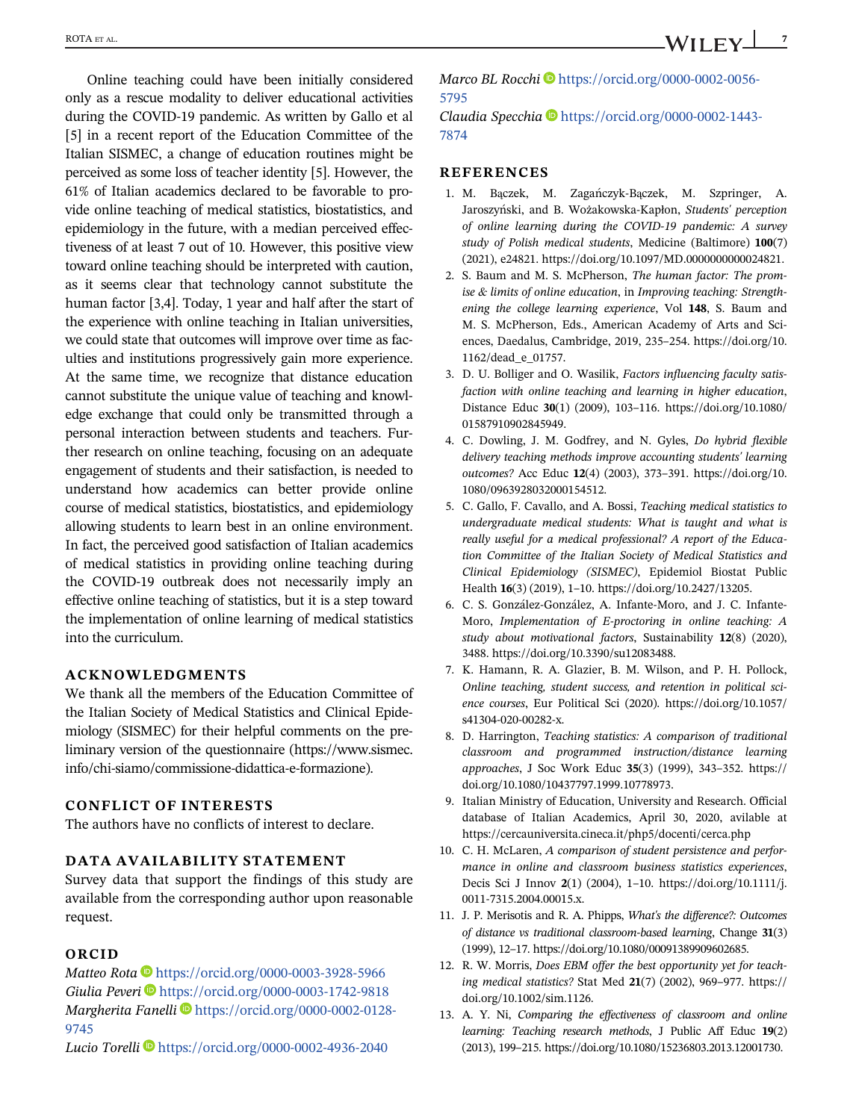Online teaching could have been initially considered only as a rescue modality to deliver educational activities during the COVID-19 pandemic. As written by Gallo et al [5] in a recent report of the Education Committee of the Italian SISMEC, a change of education routines might be perceived as some loss of teacher identity [5]. However, the 61% of Italian academics declared to be favorable to provide online teaching of medical statistics, biostatistics, and epidemiology in the future, with a median perceived effectiveness of at least 7 out of 10. However, this positive view toward online teaching should be interpreted with caution, as it seems clear that technology cannot substitute the human factor [3,4]. Today, 1 year and half after the start of the experience with online teaching in Italian universities, we could state that outcomes will improve over time as faculties and institutions progressively gain more experience. At the same time, we recognize that distance education cannot substitute the unique value of teaching and knowledge exchange that could only be transmitted through a personal interaction between students and teachers. Further research on online teaching, focusing on an adequate engagement of students and their satisfaction, is needed to understand how academics can better provide online course of medical statistics, biostatistics, and epidemiology allowing students to learn best in an online environment. In fact, the perceived good satisfaction of Italian academics of medical statistics in providing online teaching during the COVID-19 outbreak does not necessarily imply an effective online teaching of statistics, but it is a step toward the implementation of online learning of medical statistics into the curriculum.

### ACKNOWLEDGMENTS

We thank all the members of the Education Committee of the Italian Society of Medical Statistics and Clinical Epidemiology (SISMEC) for their helpful comments on the preliminary version of the questionnaire [\(https://www.sismec.](https://www.sismec.info/chi-siamo/commissione-didattica-e-formazione) [info/chi-siamo/commissione-didattica-e-formazione](https://www.sismec.info/chi-siamo/commissione-didattica-e-formazione)).

### CONFLICT OF INTERESTS

The authors have no conflicts of interest to declare.

### DATA AVAILABILITY STATEMENT

Survey data that support the findings of this study are available from the corresponding author upon reasonable request.

### ORCID

Matteo Rota <https://orcid.org/0000-0003-3928-5966> Giulia Peveri  $\blacksquare$  <https://orcid.org/0000-0003-1742-9818> Margherita Fanelli D[https://orcid.org/0000-0002-0128-](https://orcid.org/0000-0002-0128-9745) [9745](https://orcid.org/0000-0002-0128-9745)

Marco BL Rocchi [https://orcid.org/0000-0002-0056-](https://orcid.org/0000-0002-0056-5795) [5795](https://orcid.org/0000-0002-0056-5795)

Claudia Specchia D[https://orcid.org/0000-0002-1443-](https://orcid.org/0000-0002-1443-7874) [7874](https://orcid.org/0000-0002-1443-7874)

### **REFERENCES**

- 1. M. Bączek, M. Zagańczyk-Bączek, M. Szpringer, A. Jaroszyński, and B. Wożakowska-Kapłon, Students' perception of online learning during the COVID-19 pandemic: A survey study of Polish medical students, Medicine (Baltimore) 100(7) (2021), e24821. [https://doi.org/10.1097/MD.0000000000024821.](https://doi.org/10.1097/MD.0000000000024821)
- 2. S. Baum and M. S. McPherson, The human factor: The promise & limits of online education, in Improving teaching: Strengthening the college learning experience, Vol 148, S. Baum and M. S. McPherson, Eds., American Academy of Arts and Sciences, Daedalus, Cambridge, 2019, 235–254. [https://doi.org/10.](https://doi.org/10.1162/dead_e_01757) [1162/dead\\_e\\_01757](https://doi.org/10.1162/dead_e_01757).
- 3. D. U. Bolliger and O. Wasilik, Factors influencing faculty satisfaction with online teaching and learning in higher education, Distance Educ 30(1) (2009), 103–116. [https://doi.org/10.1080/](https://doi.org/10.1080/01587910902845949) [01587910902845949.](https://doi.org/10.1080/01587910902845949)
- 4. C. Dowling, J. M. Godfrey, and N. Gyles, Do hybrid flexible delivery teaching methods improve accounting students' learning outcomes? Acc Educ 12(4) (2003), 373–391. [https://doi.org/10.](https://doi.org/10.1080/0963928032000154512) [1080/0963928032000154512.](https://doi.org/10.1080/0963928032000154512)
- 5. C. Gallo, F. Cavallo, and A. Bossi, Teaching medical statistics to undergraduate medical students: What is taught and what is really useful for a medical professional? A report of the Education Committee of the Italian Society of Medical Statistics and Clinical Epidemiology (SISMEC), Epidemiol Biostat Public Health 16(3) (2019), 1–10.<https://doi.org/10.2427/13205>.
- 6. C. S. Gonzalez-Gonzalez, A. Infante-Moro, and J. C. Infante-Moro, Implementation of E-proctoring in online teaching: A study about motivational factors, Sustainability 12(8) (2020), 3488.<https://doi.org/10.3390/su12083488>.
- 7. K. Hamann, R. A. Glazier, B. M. Wilson, and P. H. Pollock, Online teaching, student success, and retention in political science courses, Eur Political Sci (2020). [https://doi.org/10.1057/](https://doi.org/10.1057/s41304-020-00282-x) [s41304-020-00282-x](https://doi.org/10.1057/s41304-020-00282-x).
- 8. D. Harrington, Teaching statistics: A comparison of traditional classroom and programmed instruction/distance learning approaches, J Soc Work Educ 35(3) (1999), 343–352. [https://](https://doi.org/10.1080/10437797.1999.10778973) [doi.org/10.1080/10437797.1999.10778973.](https://doi.org/10.1080/10437797.1999.10778973)
- 9. Italian Ministry of Education, University and Research. Official database of Italian Academics, April 30, 2020, avilable at <https://cercauniversita.cineca.it/php5/docenti/cerca.php>
- 10. C. H. McLaren, A comparison of student persistence and performance in online and classroom business statistics experiences, Decis Sci J Innov 2(1) (2004), 1–10. [https://doi.org/10.1111/j.](https://doi.org/10.1111/j.0011-7315.2004.00015.x) [0011-7315.2004.00015.x](https://doi.org/10.1111/j.0011-7315.2004.00015.x).
- 11. J. P. Merisotis and R. A. Phipps, What's the difference?: Outcomes of distance vs traditional classroom-based learning, Change 31(3) (1999), 12–17.<https://doi.org/10.1080/00091389909602685>.
- 12. R. W. Morris, Does EBM offer the best opportunity yet for teaching medical statistics? Stat Med 21(7) (2002), 969–977. [https://](https://doi.org/10.1002/sim.1126) [doi.org/10.1002/sim.1126.](https://doi.org/10.1002/sim.1126)
- 13. A. Y. Ni, Comparing the effectiveness of classroom and online learning: Teaching research methods, J Public Aff Educ 19(2) (2013), 199–215. [https://doi.org/10.1080/15236803.2013.12001730.](https://doi.org/10.1080/15236803.2013.12001730)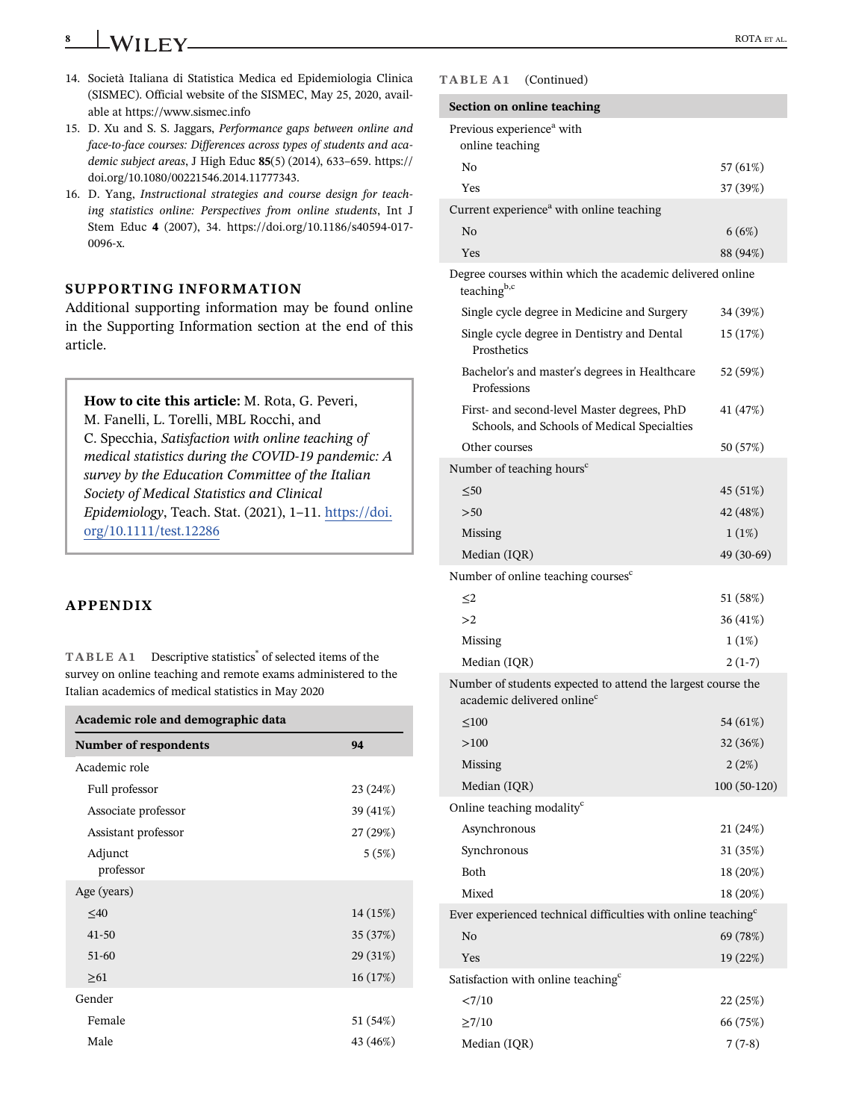- 8 **WILEY** ROTA ET AL.
- 14. Società Italiana di Statistica Medica ed Epidemiologia Clinica (SISMEC). Official website of the SISMEC, May 25, 2020, available at<https://www.sismec.info>
- 15. D. Xu and S. S. Jaggars, Performance gaps between online and face-to-face courses: Differences across types of students and academic subject areas, J High Educ 85(5) (2014), 633–659. [https://](https://doi.org/10.1080/00221546.2014.11777343) [doi.org/10.1080/00221546.2014.11777343](https://doi.org/10.1080/00221546.2014.11777343).
- 16. D. Yang, Instructional strategies and course design for teaching statistics online: Perspectives from online students, Int J Stem Educ 4 (2007), 34. [https://doi.org/10.1186/s40594-017-](https://doi.org/10.1186/s40594-017-0096-x) [0096-x](https://doi.org/10.1186/s40594-017-0096-x).

### SUPPORTING INFORMATION

Additional supporting information may be found online in the Supporting Information section at the end of this article.

How to cite this article: M. Rota, G. Peveri, M. Fanelli, L. Torelli, MBL Rocchi, and C. Specchia, Satisfaction with online teaching of medical statistics during the COVID-19 pandemic: A survey by the Education Committee of the Italian Society of Medical Statistics and Clinical Epidemiology, Teach. Stat. (2021), 1–11. [https://doi.](https://doi.org/10.1111/test.12286) [org/10.1111/test.12286](https://doi.org/10.1111/test.12286)

### APPENDIX

TABLE A1 Descriptive statistics\* of selected items of the survey on online teaching and remote exams administered to the Italian academics of medical statistics in May 2020

| Academic role and demographic data |          |  |  |
|------------------------------------|----------|--|--|
| <b>Number of respondents</b>       | 94       |  |  |
| Academic role                      |          |  |  |
| Full professor                     | 23 (24%) |  |  |
| Associate professor                | 39 (41%) |  |  |
| Assistant professor                | 27 (29%) |  |  |
| Adjunct<br>professor               | 5(5%)    |  |  |
| Age (years)                        |          |  |  |
| $\leq 40$                          | 14 (15%) |  |  |
| $41 - 50$                          | 35 (37%) |  |  |
| 51-60                              | 29 (31%) |  |  |
| $\geq 61$                          | 16(17%)  |  |  |
| Gender                             |          |  |  |
| Female                             | 51 (54%) |  |  |
| Male                               | 43 (46%) |  |  |

### TABLE A1 (Continued)

| Section on online teaching                                                                             |               |  |
|--------------------------------------------------------------------------------------------------------|---------------|--|
| Previous experience <sup>a</sup> with<br>online teaching                                               |               |  |
| N <sub>0</sub>                                                                                         | 57 (61%)      |  |
| Yes                                                                                                    | 37 (39%)      |  |
| Current experience <sup>a</sup> with online teaching                                                   |               |  |
| N <sub>0</sub>                                                                                         | 6(6%)         |  |
| Yes                                                                                                    | 88 (94%)      |  |
| Degree courses within which the academic delivered online<br>teaching <sup>b,c</sup>                   |               |  |
| Single cycle degree in Medicine and Surgery                                                            | 34 (39%)      |  |
| Single cycle degree in Dentistry and Dental<br>Prosthetics                                             | 15 (17%)      |  |
| Bachelor's and master's degrees in Healthcare<br>Professions                                           | 52 (59%)      |  |
| First- and second-level Master degrees, PhD<br>Schools, and Schools of Medical Specialties             | 41 (47%)      |  |
| Other courses                                                                                          | 50 (57%)      |  |
| Number of teaching hours <sup>c</sup>                                                                  |               |  |
| $\leq 50$                                                                                              | 45 (51%)      |  |
| > 50                                                                                                   | 42 (48%)      |  |
| Missing                                                                                                | 1(1%)         |  |
| Median (IQR)                                                                                           | 49 (30-69)    |  |
| Number of online teaching courses <sup>c</sup>                                                         |               |  |
| $\leq$ 2                                                                                               | 51 (58%)      |  |
| >2                                                                                                     | 36 (41%)      |  |
| Missing                                                                                                | 1(1%)         |  |
| Median (IQR)                                                                                           | $2(1-7)$      |  |
| Number of students expected to attend the largest course the<br>academic delivered online <sup>c</sup> |               |  |
| $\leq 100$                                                                                             | 54 (61%)      |  |
| >100                                                                                                   | 32 (36%)      |  |
| Missing                                                                                                | 2(2%)         |  |
| Median (IQR)                                                                                           | $100(50-120)$ |  |
| Online teaching modality <sup>c</sup>                                                                  |               |  |
| Asynchronous                                                                                           | 21 (24%)      |  |
| Synchronous                                                                                            | 31 (35%)      |  |
| Both                                                                                                   | 18 (20%)      |  |
| Mixed                                                                                                  | 18 (20%)      |  |
| Ever experienced technical difficulties with online teaching <sup>c</sup>                              |               |  |
| No                                                                                                     | 69 (78%)      |  |
| Yes                                                                                                    | 19 (22%)      |  |
| Satisfaction with online teaching <sup>c</sup>                                                         |               |  |
| < 7/10                                                                                                 | 22 (25%)      |  |
| $\geq$ 7/10                                                                                            | 66 (75%)      |  |
| Median (IQR)                                                                                           | $7(7-8)$      |  |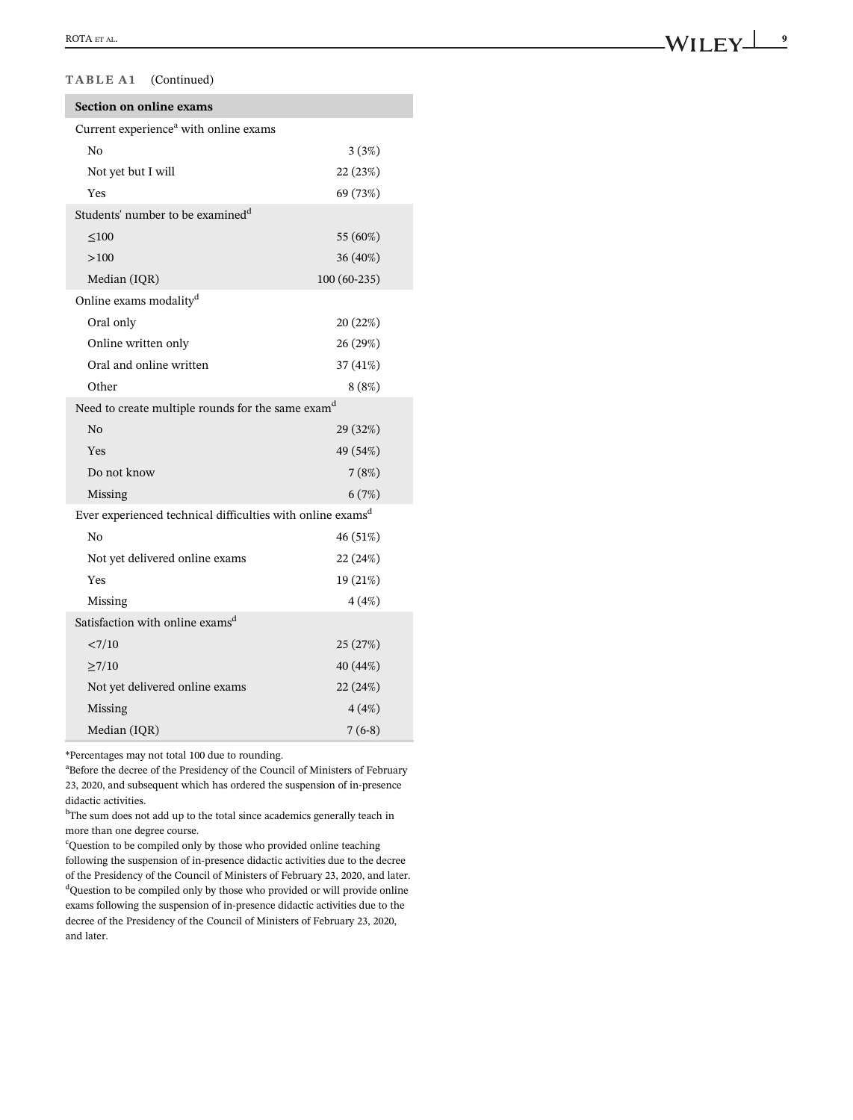### TABLE A1 (Continued)

| Section on online exams                                                |               |  |
|------------------------------------------------------------------------|---------------|--|
| Current experience <sup>a</sup> with online exams                      |               |  |
| N <sub>0</sub>                                                         | 3(3%)         |  |
| Not yet but I will                                                     | 22 (23%)      |  |
| Yes                                                                    | 69 (73%)      |  |
| Students' number to be examined <sup>d</sup>                           |               |  |
| $\leq 100$                                                             | 55 (60%)      |  |
| >100                                                                   | 36 (40%)      |  |
| Median (IQR)                                                           | $100(60-235)$ |  |
| Online exams modality <sup>d</sup>                                     |               |  |
| Oral only                                                              | 20 (22%)      |  |
| Online written only                                                    | 26 (29%)      |  |
| Oral and online written                                                | 37 (41%)      |  |
| Other                                                                  | 8(8%)         |  |
| Need to create multiple rounds for the same exam <sup>d</sup>          |               |  |
| No                                                                     | 29 (32%)      |  |
| Yes                                                                    | 49 (54%)      |  |
| Do not know                                                            | 7(8%)         |  |
| Missing                                                                | 6(7%)         |  |
| Ever experienced technical difficulties with online exams <sup>d</sup> |               |  |
| No                                                                     | 46 (51%)      |  |
| Not yet delivered online exams                                         | 22 (24%)      |  |
| Yes                                                                    | 19 (21%)      |  |
| Missing                                                                | 4(4%)         |  |
| Satisfaction with online exams <sup>d</sup>                            |               |  |
| <7/10                                                                  | 25 (27%)      |  |
| >7/10                                                                  | 40 (44%)      |  |
| Not yet delivered online exams                                         | 22 (24%)      |  |
| Missing                                                                | 4(4%)         |  |
| Median (IQR)                                                           | $7(6-8)$      |  |

\*Percentages may not total 100 due to rounding.

<sup>a</sup> Before the decree of the Presidency of the Council of Ministers of February 23, 2020, and subsequent which has ordered the suspension of in-presence didactic activities.

<sup>b</sup>The sum does not add up to the total since academics generally teach in more than one degree course.

<sup>c</sup>Question to be compiled only by those who provided online teaching following the suspension of in-presence didactic activities due to the decree of the Presidency of the Council of Ministers of February 23, 2020, and later. <sup>d</sup>Question to be compiled only by those who provided or will provide online exams following the suspension of in-presence didactic activities due to the decree of the Presidency of the Council of Ministers of February 23, 2020, and later.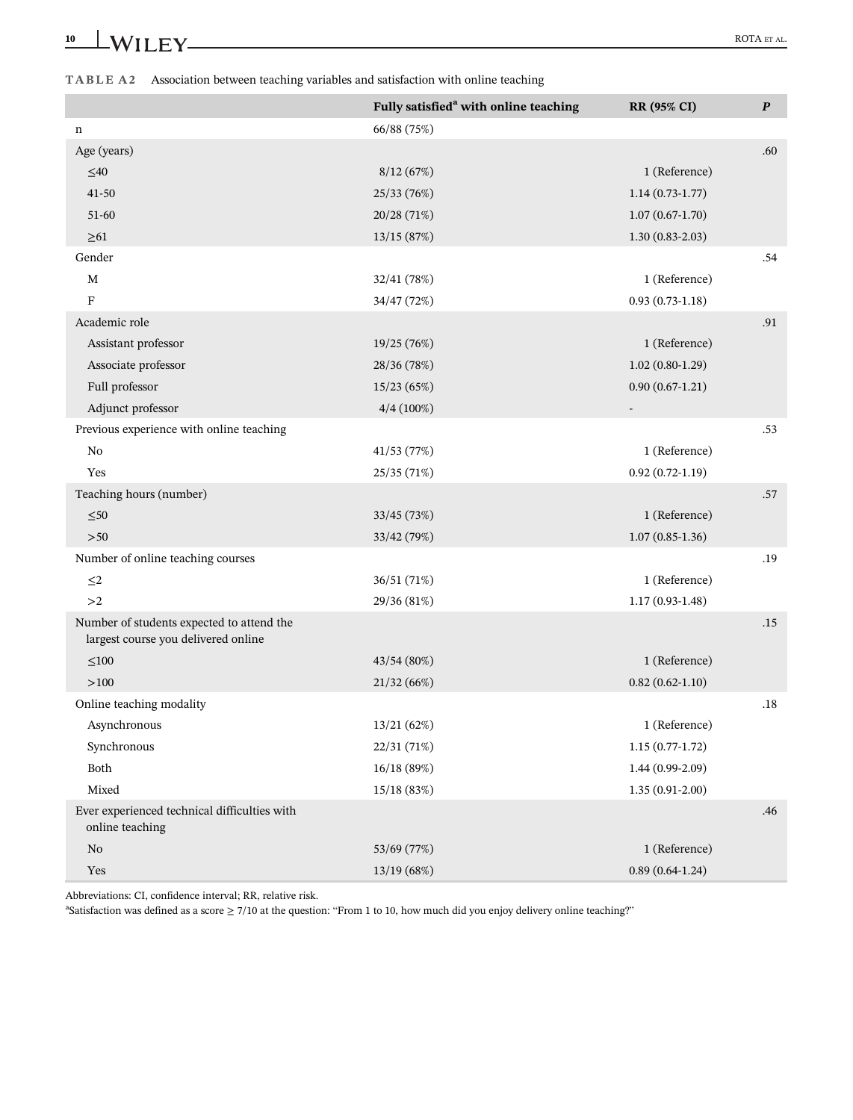|                                                                                  | Fully satisfied <sup>a</sup> with online teaching | RR (95% CI)       | $\boldsymbol{P}$ |
|----------------------------------------------------------------------------------|---------------------------------------------------|-------------------|------------------|
| n                                                                                | 66/88 (75%)                                       |                   |                  |
| Age (years)                                                                      |                                                   |                   | .60              |
| $\leq\!\!40$                                                                     | 8/12(67%)                                         | 1 (Reference)     |                  |
| $41 - 50$                                                                        | 25/33 (76%)                                       | $1.14(0.73-1.77)$ |                  |
| 51-60                                                                            | 20/28 (71%)                                       | $1.07(0.67-1.70)$ |                  |
| $\geq 61$                                                                        | 13/15 (87%)                                       | $1.30(0.83-2.03)$ |                  |
| Gender                                                                           |                                                   |                   | .54              |
| M                                                                                | 32/41 (78%)                                       | 1 (Reference)     |                  |
| F                                                                                | 34/47 (72%)                                       | $0.93(0.73-1.18)$ |                  |
| Academic role                                                                    |                                                   |                   | .91              |
| Assistant professor                                                              | 19/25 (76%)                                       | 1 (Reference)     |                  |
| Associate professor                                                              | 28/36 (78%)                                       | $1.02(0.80-1.29)$ |                  |
| Full professor                                                                   | 15/23 (65%)                                       | $0.90(0.67-1.21)$ |                  |
| Adjunct professor                                                                | $4/4(100\%)$                                      |                   |                  |
| Previous experience with online teaching                                         |                                                   |                   | .53              |
| No                                                                               | 41/53 (77%)                                       | 1 (Reference)     |                  |
| Yes                                                                              | 25/35 (71%)                                       | $0.92(0.72-1.19)$ |                  |
| Teaching hours (number)                                                          |                                                   |                   | .57              |
| ${\leq}50$                                                                       | 33/45 (73%)                                       | 1 (Reference)     |                  |
| >50                                                                              | 33/42 (79%)                                       | $1.07(0.85-1.36)$ |                  |
| Number of online teaching courses                                                |                                                   |                   | .19              |
| $\leq$ 2                                                                         | 36/51 (71%)                                       | 1 (Reference)     |                  |
| >2                                                                               | 29/36 (81%)                                       | $1.17(0.93-1.48)$ |                  |
| Number of students expected to attend the<br>largest course you delivered online |                                                   |                   | .15              |
| $\leq 100$                                                                       | 43/54 (80%)                                       | 1 (Reference)     |                  |
| >100                                                                             | 21/32(66%)                                        | $0.82(0.62-1.10)$ |                  |
| Online teaching modality                                                         |                                                   |                   | .18              |
| Asynchronous                                                                     | 13/21 (62%)                                       | 1 (Reference)     |                  |
| Synchronous                                                                      | 22/31 (71%)                                       | $1.15(0.77-1.72)$ |                  |
| Both                                                                             | 16/18 (89%)                                       | $1.44(0.99-2.09)$ |                  |
| Mixed                                                                            | 15/18 (83%)                                       | $1.35(0.91-2.00)$ |                  |
| Ever experienced technical difficulties with<br>online teaching                  |                                                   |                   | .46              |
| No                                                                               | 53/69 (77%)                                       | 1 (Reference)     |                  |
| Yes                                                                              | 13/19 (68%)                                       | $0.89(0.64-1.24)$ |                  |

Abbreviations: CI, confidence interval; RR, relative risk.

a Satisfaction was defined as a score ≥ 7/10 at the question: "From 1 to 10, how much did you enjoy delivery online teaching?"